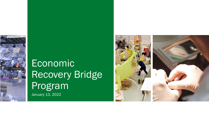

# Economic Recovery Bridge Program January 13, 2022

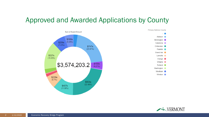### Approved and Awarded Applications by County





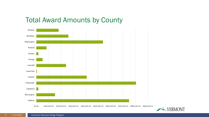### Total Award Amounts by County



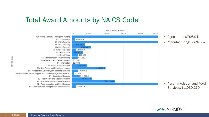#### Total Award Amounts by NAICS Code



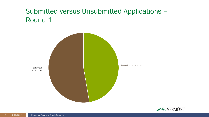## Submitted versus Unsubmitted Applications – Round 1



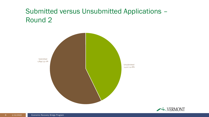## Submitted versus Unsubmitted Applications – Round 2



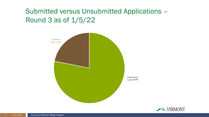## Submitted versus Unsubmitted Applications – Round 3 as of 1/5/22



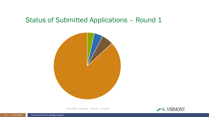#### Status of Submitted Applications - Round 1

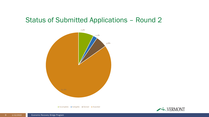#### Status of Submitted Applications – Round 2



Incomplete Ineligible Denied Awarded

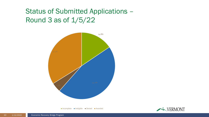## Status of Submitted Applications – Round 3 as of 1/5/22

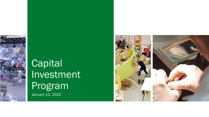

# **Capital** Investment Program January 13, 2022

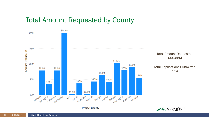#### Total Amount Requested by County

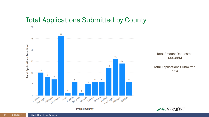#### Total Applications Submitted by County

**Project County** 



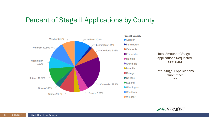#### Percent of Stage II Applications by County





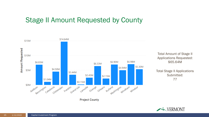#### Stage II Amount Requested by County



Total Amount of Stage II Applications Requested: \$65.64M

Total Stage II Applications Submitted: 77

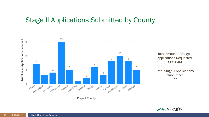#### Stage II Applications Submitted by County



Total Amount of Stage II Applications Requested: \$65.64M

Total Stage II Applications Submitted: 77

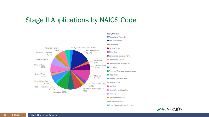#### Stage II Applications by NAICS Code



- Renewable Energy
- Rural Commercial Development

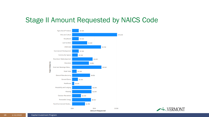#### Stage II Amount Requested by NAICS Code



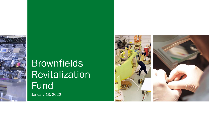

# Brownfields **Revitalization** Fund January 13, 2022

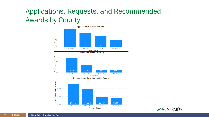## Applications, Requests, and Recommended Awards by County